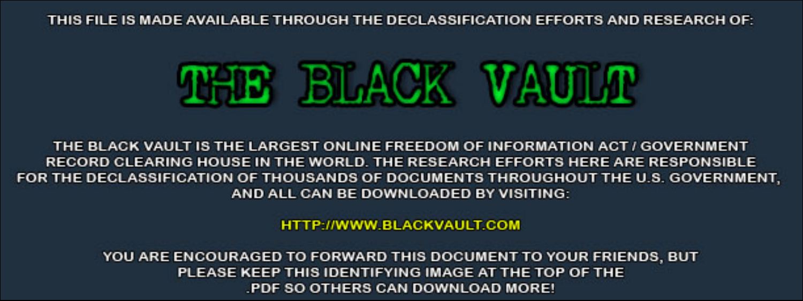THIS FILE IS MADE AVAILABLE THROUGH THE DECLASSIFICATION EFFORTS AND RESEARCH OF:



THE BLACK VAULT IS THE LARGEST ONLINE FREEDOM OF INFORMATION ACT / GOVERNMENT RECORD CLEARING HOUSE IN THE WORLD. THE RESEARCH EFFORTS HERE ARE RESPONSIBLE FOR THE DECLASSIFICATION OF THOUSANDS OF DOCUMENTS THROUGHOUT THE U.S. GOVERNMENT, AND ALL CAN BE DOWNLOADED BY VISITING:

**HTTP://WWW.BLACKVAULT.COM** 

YOU ARE ENCOURAGED TO FORWARD THIS DOCUMENT TO YOUR FRIENDS, BUT PLEASE KEEP THIS IDENTIFYING IMAGE AT THE TOP OF THE PDF SO OTHERS CAN DOWNLOAD MORE!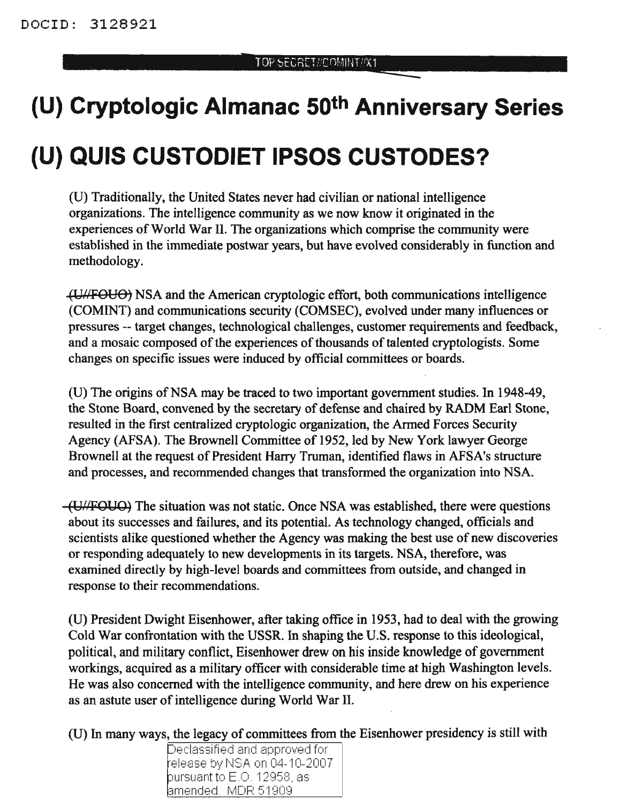# **(U) Cryptologic Almanac 50th Anniversary Series**

## **(U) QUIS CUSTODIET IPSOS CUSTODES?**

(U) Traditionally, the United States never had civilian or national intelligence organizations. The intelligence community as we now know it originated in the experiences of World War II. The organizations which comprise the community were established in the immediate postwar years, but have evolved considerably in function and methodology.

(UlI-FOUO) NSA and the American cryptologic effort, both communications intelligence (COMINT) and communications security (COMSEC), evolved under many influences or pressures -- target changes, technological challenges, customer requirements and feedback, and a mosaic composed of the experiences of thousands of talented cryptologists. Some changes on specific issues were induced by official committees or boards.

(U) The origins of NSA may be traced to two important government studies. In 1948-49, the Stone Board, convened by the secretary of defense and chaired by RADM Earl Stone, resulted in the first centralized cryptologic organization, the Armed Forces Security Agency (AFSA). The Brownell Committee of 1952, led by New York lawyer George Brownell at the request of President Harry Truman, identified flaws in AFSA's structure and processes, and recommended changes that transformed the organization into NSA.

 $-(U/FOUO)$  The situation was not static. Once NSA was established, there were questions about its successes and failures, and its potential. As technology changed, officials and scientists alike questioned whether the Agency was making the best use of new discoveries or responding adequately to new developments in its targets. NSA, therefore, was examined directly by high-level boards and committees from outside, and changed in response to their recommendations.

(V) President Dwight Eisenhower, after taking office in 1953, had to deal with the growing Cold War confrontation with the USSR. In shaping the *V.S.* response to this ideological, political, and military conflict, Eisenhower drew on his inside knowledge of government workings, acquired as a military officer with considerable time at high Washington levels. He was also concerned with the intelligence community, and here drew on his experience as an astute user of intelligence during World War II.

(V) In many ways, the legacy of committees from the Eisenhower presidency is still with

Declassified and approved for elease tl~l hlSA, ()n 04-10-2007 pursuant to E.O. 12958, as amended. MDR 51909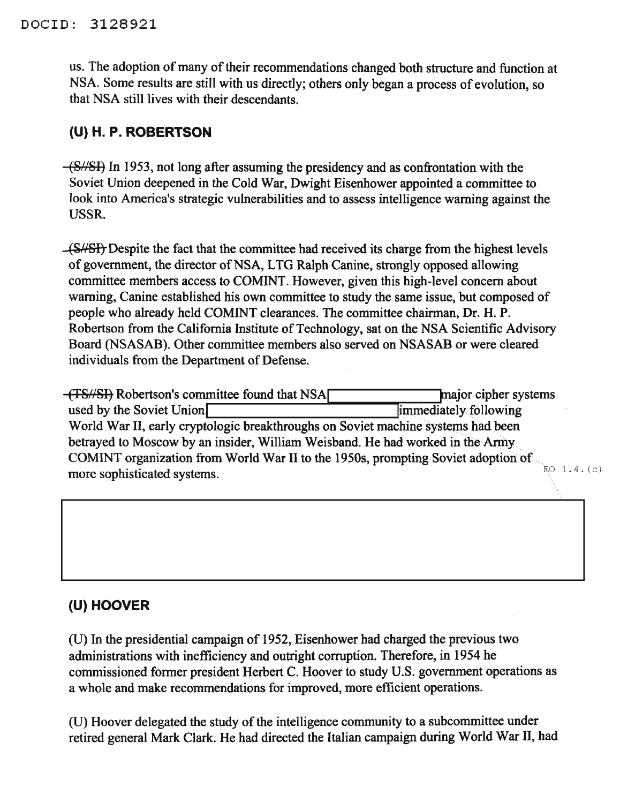us. The adoption of many of their recommendations changed both structure and function at NSA. Some results are still with us directly; others only began a process of evolution, so that NSA still lives with their descendants.

#### **(U)H.P.ROBERTSON**

 $-\frac{\text{(S/SE)}}{\text{In}}$  In 1953, not long after assuming the presidency and as confrontation with the Soviet Union deepened in the Cold War, Dwight Eisenhower appointed a committee to look into America's strategic vulnerabilities and to assess intelligence warning against the USSR.

-(S/SI). Despite the fact that the committee had received its charge from the highest levels of government, the director of NSA, LTG Ralph Canine, strongly opposed allowing committee members access to COMINT. However, given this high-level concern about warning, Canine established his own committee to study the same issue, but composed of people who already held COMINT clearances. The committee chairman, Dr. H. P. Robertson from the California Institute of Technology, sat on the NSA Scientific Advisory Board (NSASAB). Other committee members also served on NSASAB or were cleared individuals from the Department of Defense.

(TS//SI) Robertson's committee found that NSA used by the Soviet Union World War II, early cryptologic breakthroughs on Soviet machine systems had been betrayed to Moscow by an insider, William Weisband. He had worked in the Army COMINT organization from World War II to the 1950s, prompting Soviet adoption of more sophisticated systems.

## **(U) HOOVER**

(U) In the presidential campaign of 1952, Eisenhower had charged the previous two administrations with inefficiency and outright corruption. Therefore, in 1954 he commissioned former president Herbert C. Hoover to study U.S. government operations as a whole and make recommendations for improved, more efficient operations.

(U) Hoover delegated the study of the intelligence community to a subcommittee under retired general Mark Clark. He had directed the Italian campaign during World War II, had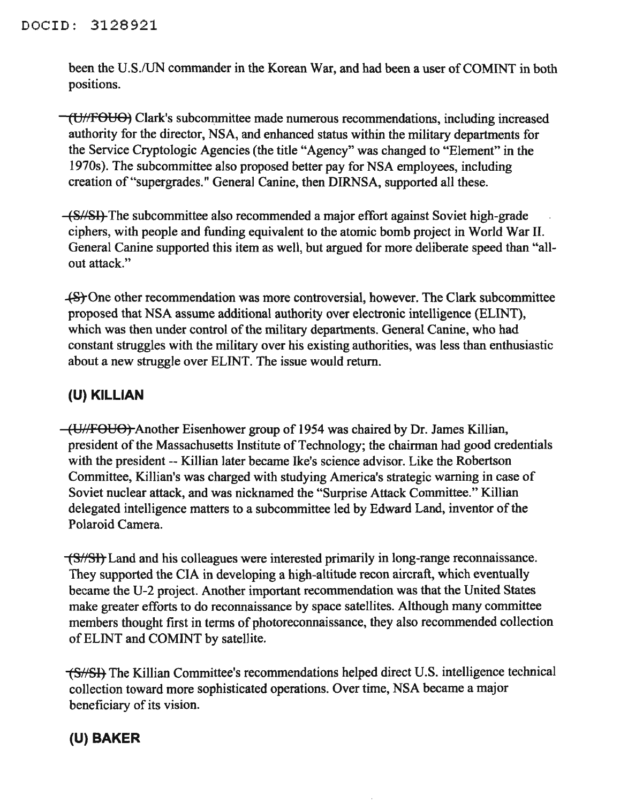been the U.S./UN commander in the Korean War, and had been a user of COMINT in both positions.

(U1fFOUO) Clark's subcommittee made numerous recommendations, including increased authority for the director, NSA, and enhanced status within the military departments for the Service Cryptologic Agencies (the title "Agency" was changed to "Element" in the 1970s). The subcommittee also proposed better pay for NSA employees, including creation of "supergrades." General Canine, then DIRNSA, supported all these.

(8//81) The subcommittee also recommended a major effort against Soviet high-grade ciphers, with people and funding equivalent to the atomic bomb project in World War II. General Canine supported this item as well, but argued for more deliberate speed than "allout attack."

..(.810ne other recommendation was more controversial, however. The Clark subcommittee proposed that NSA assume additional authority over electronic intelligence (ELINT), which was then under control of the military departments. General Canine, who had constant struggles with the military over his existing authorities, was less than enthusiastic about a new struggle over ELINT. The issue would return.

#### **(U) KILLIAN**

(U//FOUO) Another Eisenhower group of 1954 was chaired by Dr. James Killian, president of the Massachusetts Institute of Technology; the chairman had good credentials with the president -- Killian later became Ike's science advisor. Like the Robertson Committee, Killian's was charged with studying America's strategic warning in case of Soviet nuclear attack, and was nicknamed the "Surprise Attack Committee." Killian delegated intelligence matters to a subcommittee led by Edward Land, inventor of the Polaroid Camera.

(SNSI) Land and his colleagues were interested primarily in long-range reconnaissance. They supported the CIA in developing a high-altitude recon aircraft, which eventually became the U-2 project. Another important recommendation was that the United States make greater efforts to do reconnaissance by space satellites. Although many committee members thought first in terms of photoreconnaissance, they also recommended collection ofELINT and COMINT by satellite.

-(S//SI, The Killian Committee's recommendations helped direct U.S. intelligence technical collection toward more sophisticated operations. Over time, NSA became a major beneficiary of its vision.

## **(U) BAKER**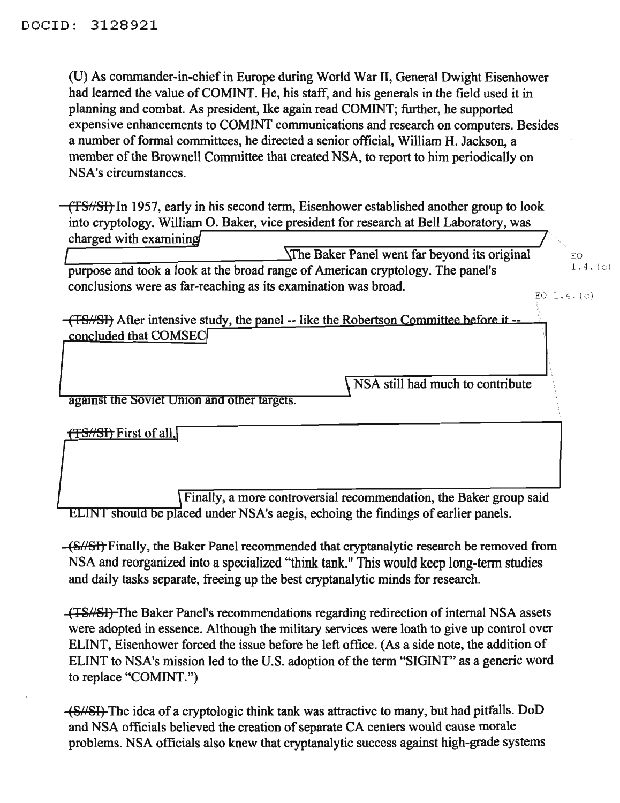(U) As commander-in-chiefin Europe during World War II, General Dwight Eisenhower had learned the value of COMINT. He, his staff, and his generals in the field used it in planning and combat. As president, Ike again read COMINT; further, he supported expensive enhancements to COMINT communications and research on computers. Besides a number of formal committees, he directed a senior official, William H. Jackson, a member of the Brownell Committee that created NSA, to report to him periodically on NSA's circumstances.

(TS//SI) In 1957, early in his second term, Eisenhower established another group to look into cryptology. William O. Baker, vice president for research at Bell Laboratory, was charged with examinin

EO  $1.4. (c)$ The Baker Panel went far beyond its original purpose and took a look at the broad range of American cryptology. The panel's conclusions were as far-reaching as its examination was broad.

(TS/SI) After intensive study, the panel -- like the Robertson Committee before it -concluded that COMSEC

NSA still had much to contribute

EO 1. 4. (c)

against the Soviet Union and other targets.

 $+$ **TS//SI)** First of all,

Finally, a more controversial recommendation, the Baker group said ELINT should be placed under NSA's aegis, echoing the findings of earlier panels.

(8/151)-Finally, the Baker Panel recommended that cryptanalytic research be removed from NSA and reorganized into a specialized "think tank." This would keep long-term studies and daily tasks separate, freeing up the best cryptanalytic minds for research.

(TS//SI) The Baker Panel's recommendations regarding redirection of internal NSA assets were adopted in essence. Although the military services were loath to give up control over ELINT, Eisenhower forced the issue before he left office. (As a side note, the addition of ELINT to NSA's mission led to the U.S. adoption of the term "SIGINT" as a generic word to replace "COMINT.")

(~;4/~1) The idea of a cryptologic think tank was attractive to many, but had pitfalls. DoD and NSA officials believed the creation of separate CA centers would cause morale problems. NSA officials also knew that cryptanalytic success against high-grade systems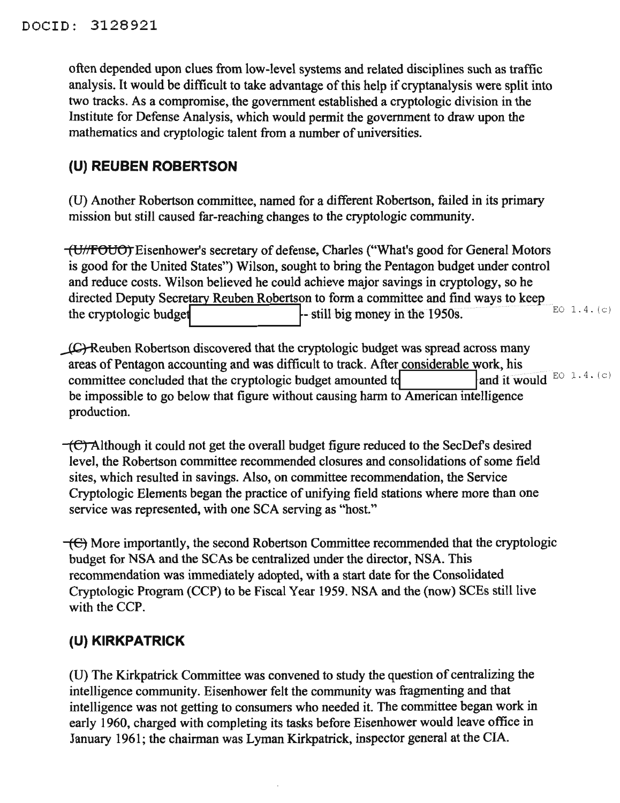often depended upon clues from low-level systems and related disciplines such as traffic analysis. It would be difficult to take advantage of this help if cryptanalysis were split into two tracks. As a compromise, the government established a cryptologic division in the Institute for Defense Analysis, which would permit the government to draw upon the mathematics and cryptologic talent from a number of universities.

#### **(U) REUBEN ROBERTSON**

(U) Another Robertson committee, named for a different Robertson, failed in its primary mission but still caused far-reaching changes to the cryptologic community.

(UHFOUO) Eisenhower's secretary of defense, Charles ("What's good for General Motors is good for the United States") Wilson, sought to bring the Pentagon budget under control and reduce costs. Wilson believed he could achieve major savings in cryptology, so he directed Deputy Secretary Reuben Robertson to form a committee and find ways to keep the cryptologic budget  $\left\{\n\begin{array}{c}\n\text{still big money in the 1950s.}\n\end{array}\n\right\}$ 

LG Reuben Robertson discovered that the cryptologic budget was spread across many areas of Pentagon accounting and was difficult to track. After considerable work, his committee concluded that the cryptologic budget amounted td be impossible to go below that figure without causing harm to American intelligence production. and it would  $E0$  1.4. (c)

 $\overline{C}$  Although it could not get the overall budget figure reduced to the SecDef's desired level, the Robertson committee recommended closures and consolidations of some field sites, which resulted in savings. Also, on committee recommendation, the Service Cryptologic Elements began the practice of unifying field stations where more than one service was represented, with one SCA serving as "host."

 $\overline{+}$ ( $\overline{+}$ ) More importantly, the second Robertson Committee recommended that the cryptologic budget for NSA and the SCAs be centralized under the director, NSA. This recommendation was immediately adopted, with a start date for the Consolidated Cryptologic Program (CCP) to be Fiscal Year 1959. NSA and the (now) SCEs still live with the CCP.

## **(U) KIRKPATRICK**

(U) The Kirkpatrick Committee was convened to study the question of centralizing the intelligence community. Eisenhower felt the community was fragmenting and that intelligence was not getting to consumers who needed it. The committee began work in early 1960, charged with completing its tasks before Eisenhower would leave office in January 1961; the chairman was Lyman Kirkpatrick, inspector general at the CIA.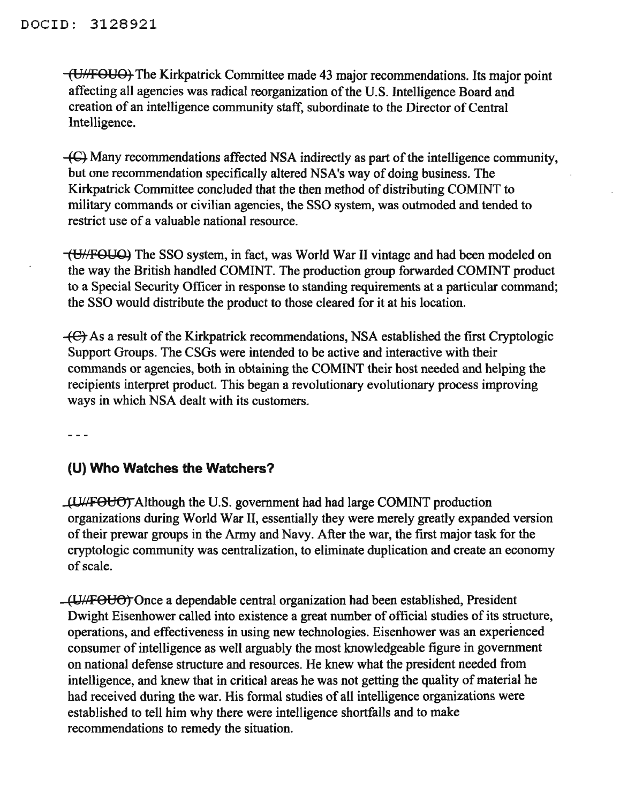(VI/FOUO) The Kirkpatrick Committee made 43 major recommendations. Its major point affecting all agencies was radical reorganization of the U.S. Intelligence Board and creation of an intelligence community staff, subordinate to the Director of Central Intelligence.

 $-$ ( $C$ ) Many recommendations affected NSA indirectly as part of the intelligence community, but one recommendation specifically altered NSA's way of doing business. The Kirkpatrick Committee concluded that the then method of distributing COMINT to military commands or civilian agencies, the SSO system, was outmoded and tended to restrict use of a valuable national resource.

(U/FOUQ) The SSO system, in fact, was World War II vintage and had been modeled on the way the British handled COMINT. The production group forwarded COMINT product to a Special Security Officer in response to standing requirements at a particular command; the SSO would distribute the product to those cleared for it at his location.

 $-$ ( $\epsilon$ ) As a result of the Kirkpatrick recommendations, NSA established the first Cryptologic Support Groups. The CSGs were intended to be active and interactive with their commands or agencies, both in obtaining the COMINT their host needed and helping the recipients interpret product. This began a revolutionary evolutionary process improving ways in which NSA dealt with its customers.

 $\frac{1}{2}$ 

#### **(U) Who Watches the Watchers?**

 $\mu$ U/FOUO) Although the U.S. government had had large COMINT production organizations during World War II, essentially they were merely greatly expanded version of their prewar groups in the Army and Navy. After the war, the first major task for the cryptologic community was centralization, to eliminate duplication and create an economy ofscale.

(Y//POUO)"Once a dependable central organization had been established, President Dwight Eisenhower called into existence a great number of official studies of its structure, operations, and effectiveness in using new technologies. Eisenhower was an experienced consumer of intelligence as well arguably the most knowledgeable figure in government on national defense structure and resources. He knew what the president needed from intelligence, and knew that in critical areas he was not getting the quality of material he had received during the war. His formal studies of all intelligence organizations were established to tell him why there were intelligence shortfalls and to make recommendations to remedy the situation.